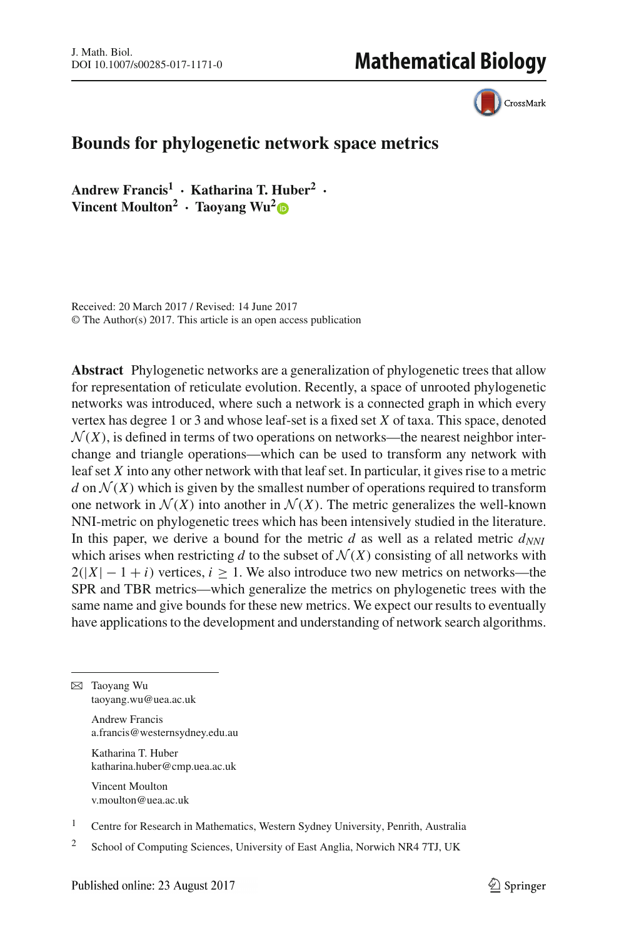CrossMark

# **Bounds for phylogenetic network space metrics**

**Andrew Francis<sup>1</sup> · Katharina T. Huber2 · Vincent Moulton2 · Taoyang Wu[2](http://orcid.org/0000-0002-2663-2001)**

Received: 20 March 2017 / Revised: 14 June 2017 © The Author(s) 2017. This article is an open access publication

**Abstract** Phylogenetic networks are a generalization of phylogenetic trees that allow for representation of reticulate evolution. Recently, a space of unrooted phylogenetic networks was introduced, where such a network is a connected graph in which every vertex has degree 1 or 3 and whose leaf-set is a fixed set *X* of taxa. This space, denoted  $\mathcal{N}(X)$ , is defined in terms of two operations on networks—the nearest neighbor interchange and triangle operations—which can be used to transform any network with leaf set *X* into any other network with that leaf set. In particular, it gives rise to a metric *d* on  $\mathcal{N}(X)$  which is given by the smallest number of operations required to transform one network in  $\mathcal{N}(X)$  into another in  $\mathcal{N}(X)$ . The metric generalizes the well-known NNI-metric on phylogenetic trees which has been intensively studied in the literature. In this paper, we derive a bound for the metric  $d$  as well as a related metric  $d_{NNI}$ which arises when restricting *d* to the subset of  $\mathcal{N}(X)$  consisting of all networks with  $2(|X| - 1 + i)$  vertices,  $i \ge 1$ . We also introduce two new metrics on networks—the SPR and TBR metrics—which generalize the metrics on phylogenetic trees with the same name and give bounds for these new metrics. We expect our results to eventually have applications to the development and understanding of network search algorithms.

 $\boxtimes$  Taoyang Wu taoyang.wu@uea.ac.uk

> Andrew Francis a.francis@westernsydney.edu.au

Katharina T. Huber katharina.huber@cmp.uea.ac.uk

Vincent Moulton v.moulton@uea.ac.uk

<sup>1</sup> Centre for Research in Mathematics, Western Sydney University, Penrith, Australia

<sup>2</sup> School of Computing Sciences, University of East Anglia, Norwich NR4 7TJ, UK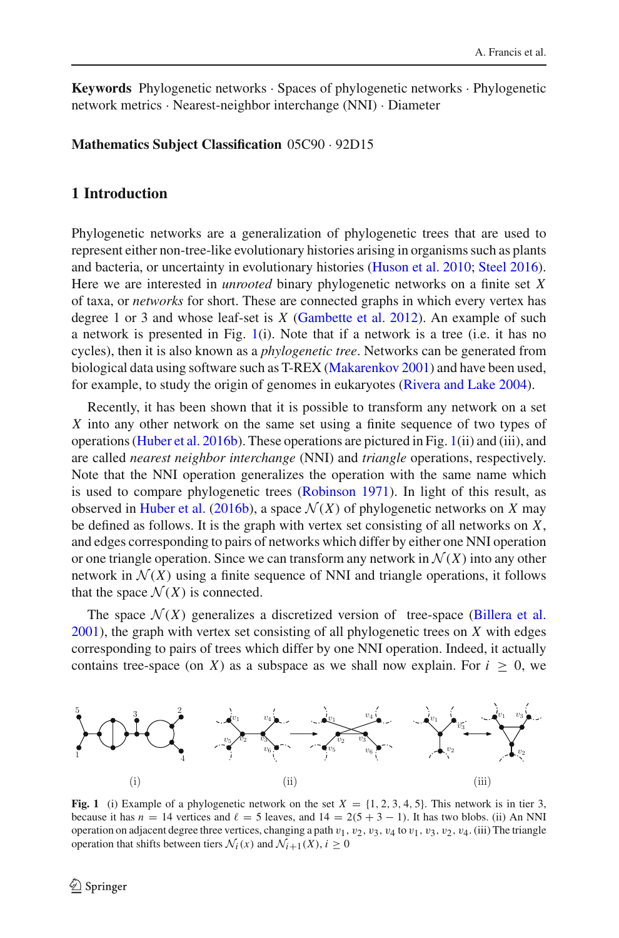**Keywords** Phylogenetic networks · Spaces of phylogenetic networks · Phylogenetic network metrics · Nearest-neighbor interchange (NNI) · Diameter

**Mathematics Subject Classification** 05C90 · 92D15

### <span id="page-1-1"></span>**1 Introduction**

Phylogenetic networks are a generalization of phylogenetic trees that are used to represent either non-tree-like evolutionary histories arising in organisms such as plants and bacteria, or uncertainty in evolutionary histories [\(Huson et al. 2010;](#page-19-0) [Steel 2016](#page-19-1)). Here we are interested in *unrooted* binary phylogenetic networks on a finite set *X* of taxa, or *networks* for short. These are connected graphs in which every vertex has degree 1 or 3 and whose leaf-set is *X* [\(Gambette et al. 2012\)](#page-19-2). An example of such a network is presented in Fig. [1\(](#page-1-0)i). Note that if a network is a tree (i.e. it has no cycles), then it is also known as a *phylogenetic tree*. Networks can be generated from biological data using software such as T-REX [\(Makarenkov 2001](#page-19-3)) and have been used, for example, to study the origin of genomes in eukaryotes [\(Rivera and Lake 2004](#page-19-4)).

Recently, it has been shown that it is possible to transform any network on a set *X* into any other network on the same set using a finite sequence of two types of operations [\(Huber et al. 2016b\)](#page-19-5). These operations are pictured in Fig. [1\(](#page-1-0)ii) and (iii), and are called *nearest neighbor interchange* (NNI) and *triangle* operations, respectively. Note that the NNI operation generalizes the operation with the same name which is used to compare phylogenetic trees [\(Robinson 1971\)](#page-19-6). In light of this result, as observed in [Huber et al.](#page-19-5) [\(2016b\)](#page-19-5), a space  $\mathcal{N}(X)$  of phylogenetic networks on *X* may be defined as follows. It is the graph with vertex set consisting of all networks on *X*, and edges corresponding to pairs of networks which differ by either one NNI operation or one triangle operation. Since we can transform any network in  $\mathcal{N}(X)$  into any other network in  $\mathcal{N}(X)$  using a finite sequence of NNI and triangle operations, it follows that the space  $\mathcal{N}(X)$  is connected.

The space  $\mathcal{N}(X)$  generalizes a discretized version of tree-space [\(Billera et al.](#page-19-7) [2001\)](#page-19-7), the graph with vertex set consisting of all phylogenetic trees on *X* with edges corresponding to pairs of trees which differ by one NNI operation. Indeed, it actually contains tree-space (on *X*) as a subspace as we shall now explain. For  $i \geq 0$ , we



<span id="page-1-0"></span>**Fig. 1** (i) Example of a phylogenetic network on the set  $X = \{1, 2, 3, 4, 5\}$ . This network is in tier 3, because it has  $n = 14$  vertices and  $\ell = 5$  leaves, and  $14 = 2(5 + 3 - 1)$ . It has two blobs. (ii) An NNI operation on adjacent degree three vertices, changing a path  $v_1$ ,  $v_2$ ,  $v_3$ ,  $v_4$  to  $v_1$ ,  $v_3$ ,  $v_2$ ,  $v_4$ . (iii) The triangle operation that shifts between tiers  $\mathcal{N}_i(x)$  and  $\mathcal{N}_{i+1}(X), i \geq 0$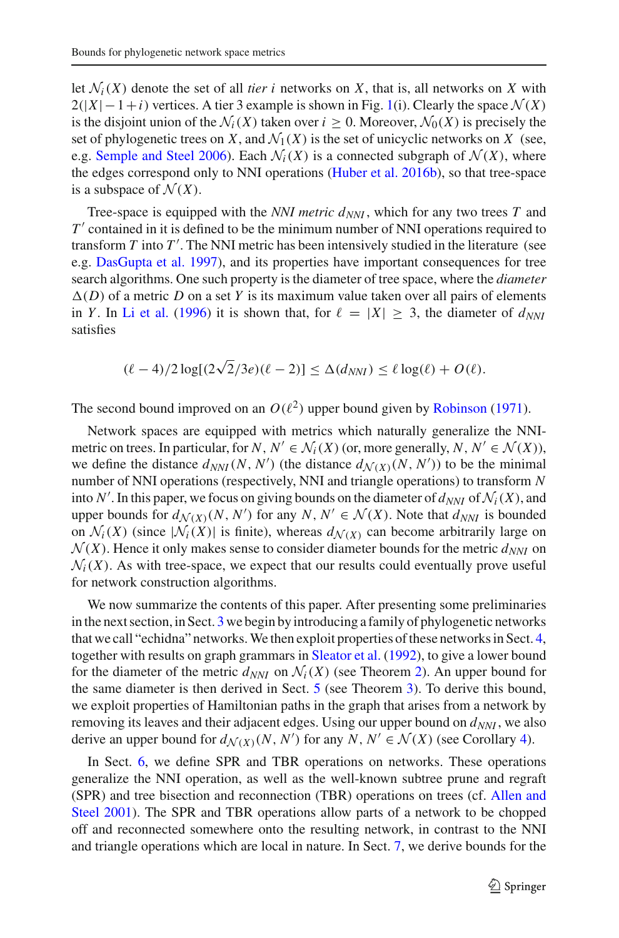let  $\mathcal{N}_i(X)$  denote the set of all *tier i* networks on *X*, that is, all networks on *X* with  $2(|X| - 1 + i)$  vertices. A tier 3 example is shown in Fig. [1\(](#page-1-0)i). Clearly the space  $\mathcal{N}(X)$ is the disjoint union of the  $\mathcal{N}_i(X)$  taken over  $i \geq 0$ . Moreover,  $\mathcal{N}_0(X)$  is precisely the set of phylogenetic trees on *X*, and  $\mathcal{N}_1(X)$  is the set of unicyclic networks on *X* (see, e.g. [Semple and Steel 2006](#page-19-8)). Each  $\mathcal{N}_i(X)$  is a connected subgraph of  $\mathcal{N}(X)$ , where the edges correspond only to NNI operations [\(Huber et al. 2016b](#page-19-5)), so that tree-space is a subspace of  $\mathcal{N}(X)$ .

Tree-space is equipped with the *NNI metric*  $d_{NNI}$ , which for any two trees *T* and *T'* contained in it is defined to be the minimum number of NNI operations required to transform *T* into *T* . The NNI metric has been intensively studied in the literature (see e.g. [DasGupta et al. 1997\)](#page-19-9), and its properties have important consequences for tree search algorithms. One such property is the diameter of tree space, where the *diameter*  $\Delta(D)$  of a metric *D* on a set *Y* is its maximum value taken over all pairs of elements in *Y*. In [Li et al.](#page-19-10) [\(1996\)](#page-19-10) it is shown that, for  $\ell = |X| \geq 3$ , the diameter of  $d_{NN}$ satisfies

$$
(\ell-4)/2\log[(2\sqrt{2}/3e)(\ell-2)] \leq \Delta(d_{NNI}) \leq \ell \log(\ell) + O(\ell).
$$

The second bound improved on an  $O(\ell^2)$  upper bound given by [Robinson](#page-19-6) [\(1971\)](#page-19-6).

Network spaces are equipped with metrics which naturally generalize the NNImetric on trees. In particular, for *N*,  $N' \in \mathcal{N}_i(X)$  (or, more generally, *N*,  $N' \in \mathcal{N}(X)$ ), we define the distance  $d_{NNI}(N, N')$  (the distance  $d_{\mathcal{N}(X)}(N, N')$ ) to be the minimal number of NNI operations (respectively, NNI and triangle operations) to transform *N* into *N'*. In this paper, we focus on giving bounds on the diameter of  $d_{NNI}$  of  $\mathcal{N}_i(X)$ , and upper bounds for  $d_{\mathcal{N}(X)}(N, N')$  for any  $N, N' \in \mathcal{N}(X)$ . Note that  $d_{NNI}$  is bounded on  $\mathcal{N}_i(X)$  (since  $|\mathcal{N}_i(X)|$  is finite), whereas  $d_{\mathcal{N}(X)}$  can become arbitrarily large on  $\mathcal{N}(X)$ . Hence it only makes sense to consider diameter bounds for the metric  $d_{NNI}$  on  $\mathcal{N}_i(X)$ . As with tree-space, we expect that our results could eventually prove useful for network construction algorithms.

We now summarize the contents of this paper. After presenting some preliminaries in the next section, in Sect. [3](#page-5-0) we begin by introducing a family of phylogenetic networks that we call "echidna" networks.We then exploit properties of these networks in Sect. [4,](#page-9-0) together with results on graph grammars in [Sleator et al.](#page-19-11) [\(1992\)](#page-19-11), to give a lower bound for the diameter of the metric  $d_{NNI}$  on  $\mathcal{N}_i(X)$  (see Theorem [2\)](#page-10-0). An upper bound for the same diameter is then derived in Sect. [5](#page-11-0) (see Theorem [3\)](#page-13-0). To derive this bound, we exploit properties of Hamiltonian paths in the graph that arises from a network by removing its leaves and their adjacent edges. Using our upper bound on  $d_{NNI}$ , we also derive an upper bound for  $d_{\mathcal{N}(X)}(N, N')$  for any  $N, N' \in \mathcal{N}(X)$  (see Corollary [4\)](#page-14-0).

In Sect. [6,](#page-14-1) we define SPR and TBR operations on networks. These operations generalize the NNI operation, as well as the well-known subtree prune and regraft (SP[R\)](#page-19-12) [and](#page-19-12) [tree](#page-19-12) [bisection](#page-19-12) [and](#page-19-12) [reconnection](#page-19-12) [\(TBR\)](#page-19-12) [operations](#page-19-12) [on](#page-19-12) [trees](#page-19-12) [\(cf.](#page-19-12) Allen and Steel [2001\)](#page-19-12). The SPR and TBR operations allow parts of a network to be chopped off and reconnected somewhere onto the resulting network, in contrast to the NNI and triangle operations which are local in nature. In Sect. [7,](#page-16-0) we derive bounds for the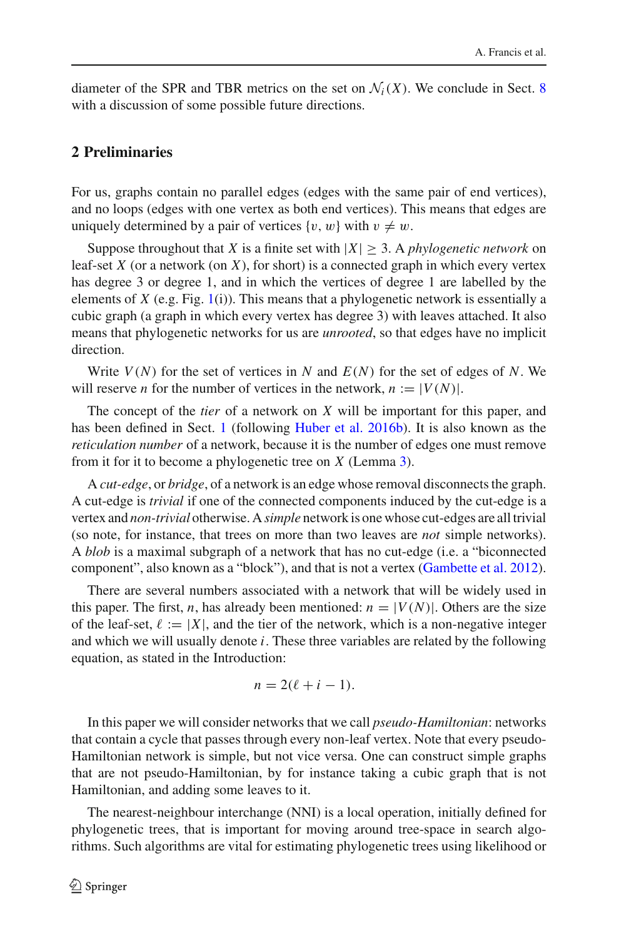diameter of the SPR and TBR metrics on the set on  $\mathcal{N}_i(X)$ . We conclude in Sect. [8](#page-18-0) with a discussion of some possible future directions.

# <span id="page-3-0"></span>**2 Preliminaries**

For us, graphs contain no parallel edges (edges with the same pair of end vertices), and no loops (edges with one vertex as both end vertices). This means that edges are uniquely determined by a pair of vertices  $\{v, w\}$  with  $v \neq w$ .

Suppose throughout that *X* is a finite set with  $|X| \geq 3$ . A *phylogenetic network* on leaf-set *X* (or a network (on *X*), for short) is a connected graph in which every vertex has degree 3 or degree 1, and in which the vertices of degree 1 are labelled by the elements of  $X$  (e.g. Fig. [1\(](#page-1-0)i)). This means that a phylogenetic network is essentially a cubic graph (a graph in which every vertex has degree 3) with leaves attached. It also means that phylogenetic networks for us are *unrooted*, so that edges have no implicit direction.

Write  $V(N)$  for the set of vertices in N and  $E(N)$  for the set of edges of N. We will reserve *n* for the number of vertices in the network,  $n := |V(N)|$ .

The concept of the *tier* of a network on *X* will be important for this paper, and has been defined in Sect. [1](#page-1-1) (following [Huber et al. 2016b](#page-19-5)). It is also known as the *reticulation number* of a network, because it is the number of edges one must remove from it for it to become a phylogenetic tree on *X* (Lemma [3\)](#page-11-1).

A *cut-edge*, or *bridge*, of a network is an edge whose removal disconnects the graph. A cut-edge is *trivial* if one of the connected components induced by the cut-edge is a vertex and *non-trivial* otherwise. A*simple* network is one whose cut-edges are all trivial (so note, for instance, that trees on more than two leaves are *not* simple networks). A *blob* is a maximal subgraph of a network that has no cut-edge (i.e. a "biconnected component", also known as a "block"), and that is not a vertex [\(Gambette et al. 2012](#page-19-2)).

There are several numbers associated with a network that will be widely used in this paper. The first, *n*, has already been mentioned:  $n = |V(N)|$ . Others are the size of the leaf-set,  $\ell := |X|$ , and the tier of the network, which is a non-negative integer and which we will usually denote *i*. These three variables are related by the following equation, as stated in the Introduction:

$$
n=2(\ell+i-1).
$$

In this paper we will consider networks that we call *pseudo-Hamiltonian*: networks that contain a cycle that passes through every non-leaf vertex. Note that every pseudo-Hamiltonian network is simple, but not vice versa. One can construct simple graphs that are not pseudo-Hamiltonian, by for instance taking a cubic graph that is not Hamiltonian, and adding some leaves to it.

The nearest-neighbour interchange (NNI) is a local operation, initially defined for phylogenetic trees, that is important for moving around tree-space in search algorithms. Such algorithms are vital for estimating phylogenetic trees using likelihood or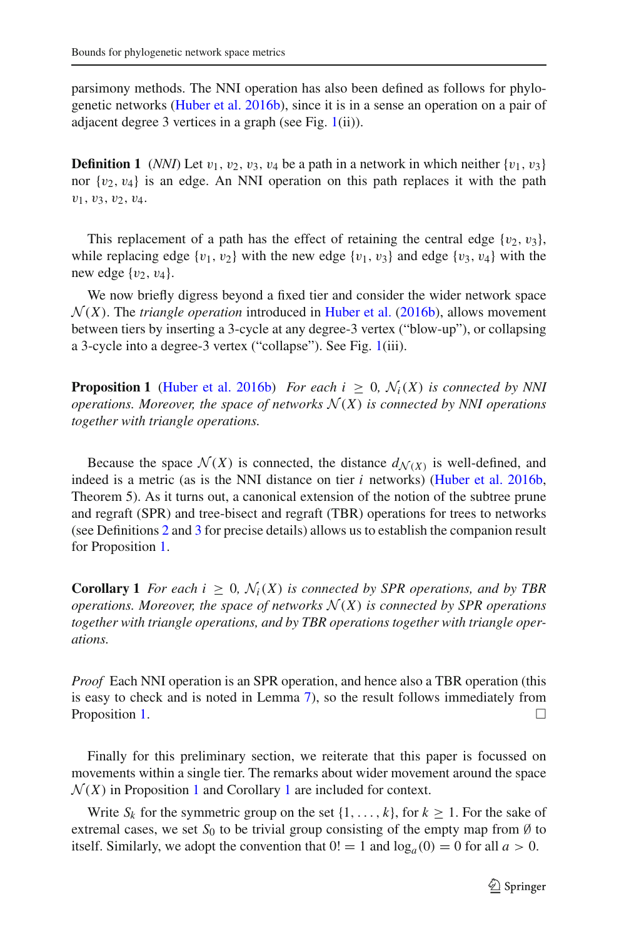parsimony methods. The NNI operation has also been defined as follows for phylogenetic networks [\(Huber et al. 2016b](#page-19-5)), since it is in a sense an operation on a pair of adjacent degree 3 vertices in a graph (see Fig. [1\(](#page-1-0)ii)).

**Definition 1** (*NNI*) Let  $v_1$ ,  $v_2$ ,  $v_3$ ,  $v_4$  be a path in a network in which neither  $\{v_1, v_3\}$ nor  $\{v_2, v_4\}$  is an edge. An NNI operation on this path replaces it with the path  $v_1, v_3, v_2, v_4.$ 

This replacement of a path has the effect of retaining the central edge  $\{v_2, v_3\}$ , while replacing edge  $\{v_1, v_2\}$  with the new edge  $\{v_1, v_3\}$  and edge  $\{v_3, v_4\}$  with the new edge  $\{v_2, v_4\}$ .

We now briefly digress beyond a fixed tier and consider the wider network space  $\mathcal{N}(X)$ . The *triangle operation* introduced in [Huber et al.](#page-19-5) [\(2016b](#page-19-5)), allows movement between tiers by inserting a 3-cycle at any degree-3 vertex ("blow-up"), or collapsing a 3-cycle into a degree-3 vertex ("collapse"). See Fig. [1\(](#page-1-0)iii).

<span id="page-4-0"></span>**Proposition 1** [\(Huber et al. 2016b\)](#page-19-5) *For each i*  $\geq$  0*,*  $\mathcal{N}_i(X)$  *is connected by NNI operations. Moreover, the space of networks*  $\mathcal{N}(X)$  *is connected by NNI operations together with triangle operations.*

Because the space  $\mathcal{N}(X)$  is connected, the distance  $d_{\mathcal{N}(X)}$  is well-defined, and indeed is a metric (as is the NNI distance on tier *i* networks) [\(Huber et al. 2016b,](#page-19-5) Theorem 5). As it turns out, a canonical extension of the notion of the subtree prune and regraft (SPR) and tree-bisect and regraft (TBR) operations for trees to networks (see Definitions [2](#page-15-0) and [3](#page-15-1) for precise details) allows us to establish the companion result for Proposition [1.](#page-4-0)

<span id="page-4-1"></span>**Corollary 1** *For each i*  $\geq 0$ ,  $\mathcal{N}_i(X)$  *is connected by SPR operations, and by TBR operations. Moreover, the space of networks*  $\mathcal{N}(X)$  *is connected by SPR operations together with triangle operations, and by TBR operations together with triangle operations.*

*Proof* Each NNI operation is an SPR operation, and hence also a TBR operation (this is easy to check and is noted in Lemma [7\)](#page-15-2), so the result follows immediately from Proposition [1.](#page-4-0)

Finally for this preliminary section, we reiterate that this paper is focussed on movements within a single tier. The remarks about wider movement around the space  $\mathcal{N}(X)$  in Proposition [1](#page-4-1) and Corollary 1 are included for context.

Write  $S_k$  for the symmetric group on the set  $\{1, \ldots, k\}$ , for  $k \geq 1$ . For the sake of extremal cases, we set  $S_0$  to be trivial group consisting of the empty map from  $\emptyset$  to itself. Similarly, we adopt the convention that  $0! = 1$  and  $\log_a(0) = 0$  for all  $a > 0$ .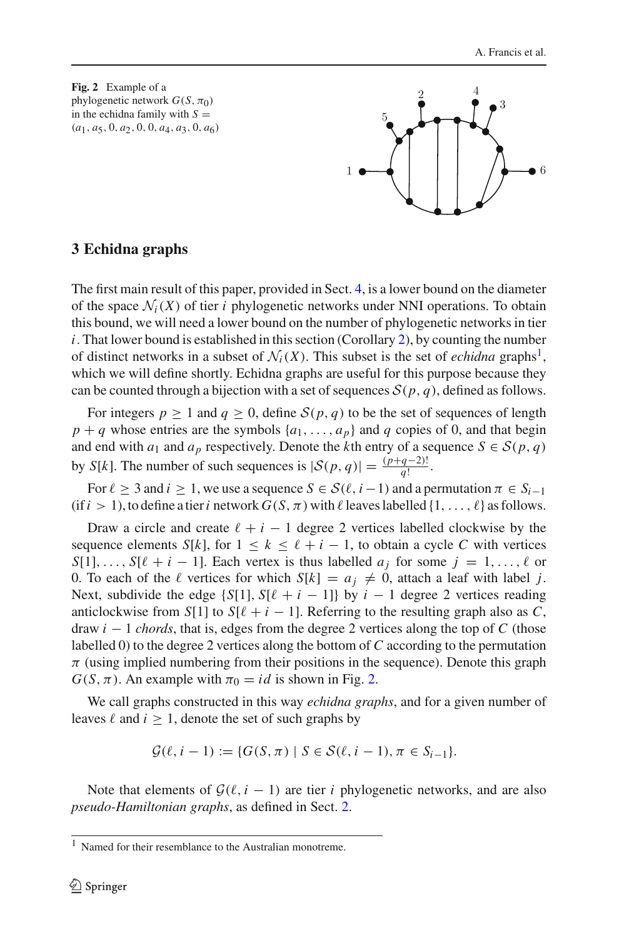<span id="page-5-2"></span>**Fig. 2** Example of a phylogenetic network  $G(S, \pi_0)$ in the echidna family with  $S =$ (*a*1, *a*5, 0, *a*2, 0, 0, *a*4, *a*3, 0, *a*6)



### <span id="page-5-0"></span>**3 Echidna graphs**

The first main result of this paper, provided in Sect. [4,](#page-9-0) is a lower bound on the diameter of the space  $\mathcal{N}_i(X)$  of tier *i* phylogenetic networks under NNI operations. To obtain this bound, we will need a lower bound on the number of phylogenetic networks in tier  $i$ . That lower bound is established in this section (Corollary [2\)](#page-8-0), by counting the number of distinct networks in a subset of  $\mathcal{N}_i(X)$ . This subset is the set of *echidna* graphs<sup>1</sup>, which we will define shortly. Echidna graphs are useful for this purpose because they can be counted through a bijection with a set of sequences  $S(p, q)$ , defined as follows.

For integers  $p \ge 1$  and  $q \ge 0$ , define  $S(p, q)$  to be the set of sequences of length  $p + q$  whose entries are the symbols  $\{a_1, \ldots, a_p\}$  and *q* copies of 0, and that begin and end with  $a_1$  and  $a_p$  respectively. Denote the *k*th entry of a sequence  $S \in S(p, q)$ by *S*[*k*]. The number of such sequences is  $|\mathcal{S}(p, q)| = \frac{(p+q-2)!}{q!}$ .

For  $\ell \geq 3$  and  $i \geq 1$ , we use a sequence  $S \in \mathcal{S}(\ell, i-1)$  and a permutation  $\pi \in S_{i-1}$  $(i\text{f} i > 1)$ , to define a tier *i* network  $G(S, \pi)$  with  $\ell$  leaves labelled  $\{1, \ldots, \ell\}$  as follows.

Draw a circle and create  $\ell + i - 1$  degree 2 vertices labelled clockwise by the sequence elements *S*[*k*], for  $1 \leq k \leq \ell + i - 1$ , to obtain a cycle *C* with vertices  $S[1], \ldots, S[\ell + i - 1]$ . Each vertex is thus labelled  $a_j$  for some  $j = 1, \ldots, \ell$  or 0. To each of the  $\ell$  vertices for which  $S[k] = a_j \neq 0$ , attach a leaf with label *j*. Next, subdivide the edge  $\{S[1], S[\ell + i - 1]\}$  by  $i - 1$  degree 2 vertices reading anticlockwise from *S*[1] to *S*[ $\ell + i - 1$ ]. Referring to the resulting graph also as *C*, draw *i* − 1 *chords*, that is, edges from the degree 2 vertices along the top of *C* (those labelled 0) to the degree 2 vertices along the bottom of *C* according to the permutation  $\pi$  (using implied numbering from their positions in the sequence). Denote this graph  $G(S, \pi)$ . An example with  $\pi_0 = id$  is shown in Fig. [2.](#page-5-2)

We call graphs constructed in this way *echidna graphs*, and for a given number of leaves  $\ell$  and  $i \geq 1$ , denote the set of such graphs by

$$
\mathcal{G}(\ell, i-1) := \{ G(S, \pi) \mid S \in \mathcal{S}(\ell, i-1), \pi \in S_{i-1} \}.
$$

Note that elements of  $G(\ell, i - 1)$  are tier *i* phylogenetic networks, and are also *pseudo-Hamiltonian graphs*, as defined in Sect. [2.](#page-3-0)

<span id="page-5-1"></span><sup>1</sup> Named for their resemblance to the Australian monotreme.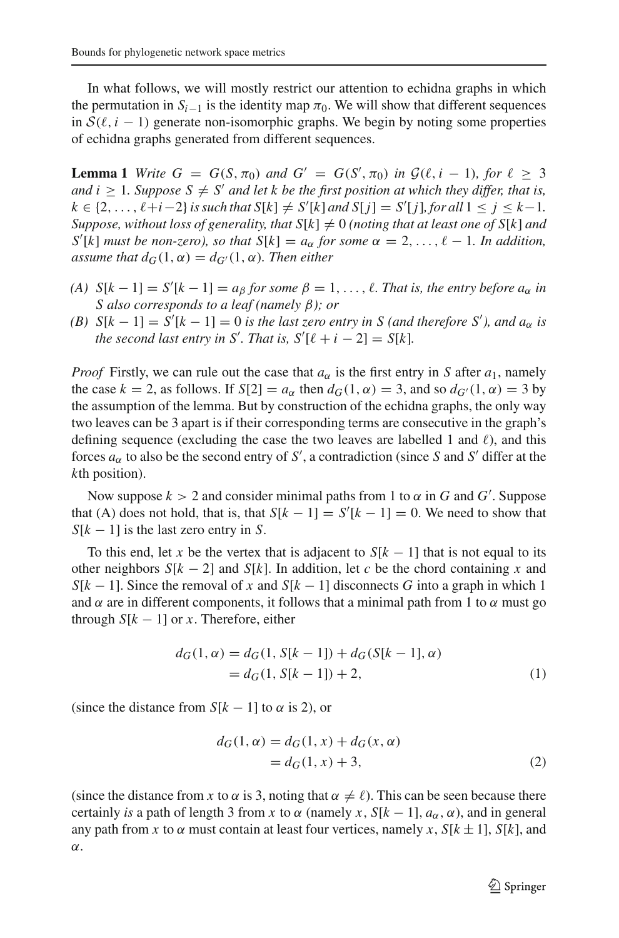In what follows, we will mostly restrict our attention to echidna graphs in which the permutation in  $S_{i-1}$  is the identity map  $\pi_0$ . We will show that different sequences in  $S(\ell, i - 1)$  generate non-isomorphic graphs. We begin by noting some properties of echidna graphs generated from different sequences.

<span id="page-6-0"></span>**Lemma 1** *Write*  $G = G(S, \pi_0)$  *and*  $G' = G(S', \pi_0)$  *in*  $G(\ell, i - 1)$ *, for*  $\ell \geq 3$ *and i* > 1*. Suppose*  $S \neq S'$  *and let k be the first position at which they differ, that is,*  $k \in \{2, ..., \ell + i - 2\}$  *is such that*  $S[k] \neq S'[k]$  *and*  $S[j] = S'[j]$ *, for all*  $1 \leq j \leq k - 1$ *. Suppose, without loss of generality, that*  $S[k] \neq 0$  *(noting that at least one of*  $S[k]$  *and*  $S'[k]$  *must be non-zero*), so that  $S[k] = a_{\alpha}$  for some  $\alpha = 2, \ldots, \ell - 1$ *. In addition, assume that*  $d_G(1, \alpha) = d_{G'}(1, \alpha)$ *. Then either* 

- $(A)$   $S[k-1] = S'[k-1] = a_{\beta}$  *for some*  $\beta = 1, \ldots, \ell$ *. That is, the entry before*  $a_{\alpha}$  *in S also corresponds to a leaf (namely* β*); or*
- *(B)*  $S[k-1] = S'[k-1] = 0$  *is the last zero entry in* S (*and therefore S'*), and  $a_{\alpha}$  *is the second last entry in S'. That is,*  $S'[\ell + i - 2] = S[k]$ *.*

*Proof* Firstly, we can rule out the case that  $a_{\alpha}$  is the first entry in *S* after  $a_1$ , namely the case  $k = 2$ , as follows. If  $S[2] = a_\alpha$  then  $d_G(1, \alpha) = 3$ , and so  $d_{G'}(1, \alpha) = 3$  by the assumption of the lemma. But by construction of the echidna graphs, the only way two leaves can be 3 apart is if their corresponding terms are consecutive in the graph's defining sequence (excluding the case the two leaves are labelled 1 and  $\ell$ ), and this forces  $a_{\alpha}$  to also be the second entry of *S'*, a contradiction (since *S* and *S'* differ at the *k*th position).

Now suppose  $k > 2$  and consider minimal paths from 1 to  $\alpha$  in  $G$  and  $G'$ . Suppose that (A) does not hold, that is, that  $S[k-1] = S'[k-1] = 0$ . We need to show that *S*[*k* − 1] is the last zero entry in *S*.

To this end, let *x* be the vertex that is adjacent to  $S[k - 1]$  that is not equal to its other neighbors  $S[k-2]$  and  $S[k]$ . In addition, let *c* be the chord containing *x* and  $S[k-1]$ . Since the removal of *x* and  $S[k-1]$  disconnects *G* into a graph in which 1 and  $\alpha$  are in different components, it follows that a minimal path from 1 to  $\alpha$  must go through  $S[k-1]$  or *x*. Therefore, either

$$
d_G(1, \alpha) = d_G(1, S[k-1]) + d_G(S[k-1], \alpha)
$$
  
=  $d_G(1, S[k-1]) + 2,$  (1)

(since the distance from  $S[k-1]$  to  $\alpha$  is 2), or

<span id="page-6-1"></span>
$$
d_G(1, \alpha) = d_G(1, x) + d_G(x, \alpha)
$$
  
=  $d_G(1, x) + 3,$  (2)

(since the distance from *x* to  $\alpha$  is 3, noting that  $\alpha \neq \ell$ ). This can be seen because there certainly *is* a path of length 3 from *x* to  $\alpha$  (namely *x*, *S*[ $k - 1$ ],  $a_{\alpha}$ ,  $\alpha$ ), and in general any path from *x* to  $\alpha$  must contain at least four vertices, namely *x*, *S*[ $k \pm 1$ ], *S*[ $k$ ], and α.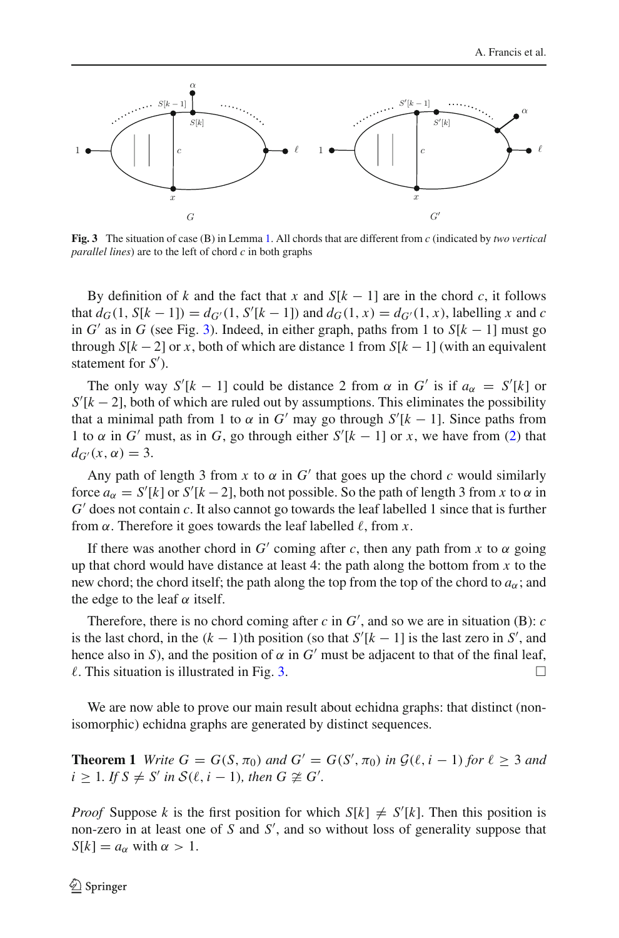

<span id="page-7-0"></span>**Fig. 3** The situation of case (B) in Lemma [1.](#page-6-0) All chords that are different from *c* (indicated by *two vertical parallel lines*) are to the left of chord *c* in both graphs

By definition of *k* and the fact that *x* and  $S[k - 1]$  are in the chord *c*, it follows that  $d_G(1, S[k-1]) = d_{G'}(1, S'[k-1])$  and  $d_G(1, x) = d_{G'}(1, x)$ , labelling *x* and *c* in  $G'$  as in  $G$  (see Fig. [3\)](#page-7-0). Indeed, in either graph, paths from 1 to  $S[k-1]$  must go through  $S[k-2]$  or *x*, both of which are distance 1 from  $S[k-1]$  (with an equivalent statement for *S* ).

The only way  $S'[k-1]$  could be distance 2 from  $\alpha$  in  $G'$  is if  $a_{\alpha} = S'[k]$  or  $S'[k-2]$ , both of which are ruled out by assumptions. This eliminates the possibility that a minimal path from 1 to  $\alpha$  in  $G'$  may go through  $S'[k-1]$ . Since paths from 1 to  $\alpha$  in *G'* must, as in *G*, go through either  $S'[k-1]$  or *x*, we have from [\(2\)](#page-6-1) that  $d_{G}(x, \alpha) = 3.$ 

Any path of length 3 from  $x$  to  $\alpha$  in  $G'$  that goes up the chord  $c$  would similarly force  $a_{\alpha} = S'[k]$  or  $S'[k-2]$ , both not possible. So the path of length 3 from *x* to  $\alpha$  in *G* does not contain *c*. It also cannot go towards the leaf labelled 1 since that is further from  $\alpha$ . Therefore it goes towards the leaf labelled  $\ell$ , from x.

If there was another chord in *G'* coming after *c*, then any path from *x* to  $\alpha$  going up that chord would have distance at least 4: the path along the bottom from *x* to the new chord; the chord itself; the path along the top from the top of the chord to  $a_{\alpha}$ ; and the edge to the leaf  $\alpha$  itself.

Therefore, there is no chord coming after  $c$  in  $G'$ , and so we are in situation (B):  $c$ is the last chord, in the  $(k - 1)$ <sup>th</sup> position (so that  $S'[k - 1]$  is the last zero in  $S'$ , and hence also in *S*), and the position of  $\alpha$  in  $G'$  must be adjacent to that of the final leaf,  $\ell$ . This situation is illustrated in Fig. [3.](#page-7-0)  $\Box$ 

We are now able to prove our main result about echidna graphs: that distinct (nonisomorphic) echidna graphs are generated by distinct sequences.

**Theorem 1** *Write*  $G = G(S, \pi_0)$  *and*  $G' = G(S', \pi_0)$  *in*  $G(\ell, i - 1)$  *for*  $\ell \geq 3$  *and*  $i \geq 1$ *. If*  $S \neq S'$  *in*  $\mathcal{S}(\ell, i-1)$ *, then*  $G \not\cong G'$ *.* 

*Proof* Suppose *k* is the first position for which  $S[k] \neq S'[k]$ . Then this position is non-zero in at least one of *S* and *S* , and so without loss of generality suppose that  $S[k] = a_{\alpha}$  with  $\alpha > 1$ .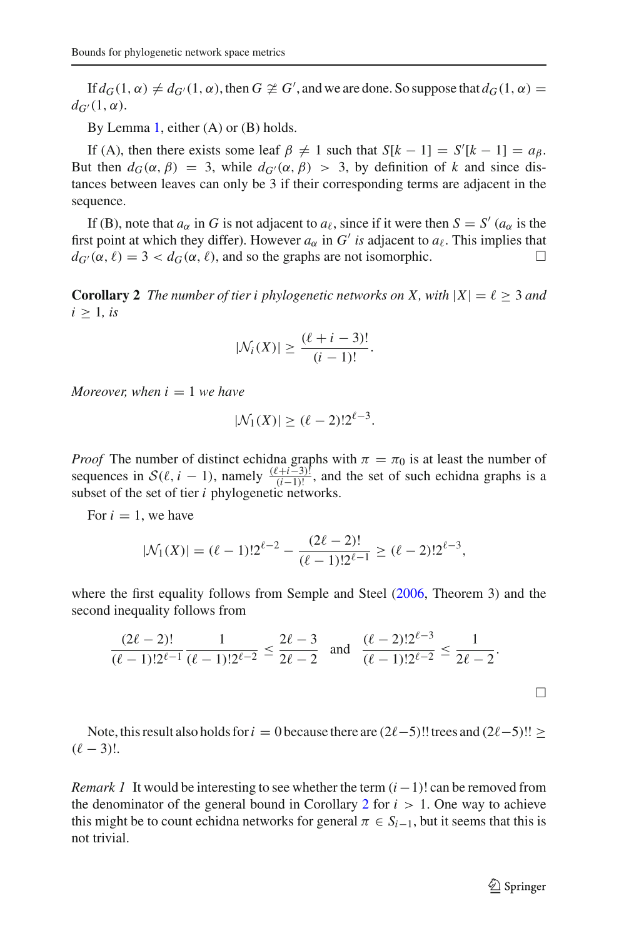If  $d_G(1, \alpha) \neq d_{G'}(1, \alpha)$ , then  $G \not\cong G'$ , and we are done. So suppose that  $d_G(1, \alpha) =$  $d_{G'}(1, \alpha)$ .

By Lemma [1,](#page-6-0) either (A) or (B) holds.

If (A), then there exists some leaf  $\beta \neq 1$  such that  $S[k-1] = S'[k-1] = a_{\beta}$ . But then  $d_G(\alpha, \beta) = 3$ , while  $d_{G'}(\alpha, \beta) > 3$ , by definition of k and since distances between leaves can only be 3 if their corresponding terms are adjacent in the sequence.

If (B), note that  $a_{\alpha}$  in *G* is not adjacent to  $a_{\ell}$ , since if it were then  $S = S' (a_{\alpha})$  is the first point at which they differ). However  $a_{\alpha}$  in  $G'$  *is* adjacent to  $a_{\ell}$ . This implies that  $d_{G'}(\alpha, \ell) = 3 < d_G(\alpha, \ell)$ , and so the graphs are not isomorphic.

<span id="page-8-0"></span>**Corollary 2** *The number of tier i phylogenetic networks on X, with*  $|X| = \ell \geq 3$  *and*  $i \geq 1$ *, is* 

$$
|\mathcal{N}_i(X)| \geq \frac{(\ell+i-3)!}{(i-1)!}.
$$

*Moreover, when*  $i = 1$  *we have* 

$$
|\mathcal{N}_1(X)| \ge (\ell - 2)! 2^{\ell - 3}.
$$

*Proof* The number of distinct echidna graphs with  $\pi = \pi_0$  is at least the number of sequences in  $S(\ell, i - 1)$ , namely  $\frac{(\ell+i-3)!}{(i-1)!}$ , and the set of such echidna graphs is a subset of the set of tier *i* phylogenetic networks.

For  $i = 1$ , we have

$$
|\mathcal{N}_1(X)| = (\ell - 1)! 2^{\ell - 2} - \frac{(2\ell - 2)!}{(\ell - 1)! 2^{\ell - 1}} \ge (\ell - 2)! 2^{\ell - 3},
$$

where the first equality follows from Semple and Steel [\(2006](#page-19-8), Theorem 3) and the second inequality follows from

$$
\frac{(2\ell-2)!}{(\ell-1)!2^{\ell-1}}\frac{1}{(\ell-1)!2^{\ell-2}} \le \frac{2\ell-3}{2\ell-2} \quad \text{and} \quad \frac{(\ell-2)!2^{\ell-3}}{(\ell-1)!2^{\ell-2}} \le \frac{1}{2\ell-2}.
$$

Note, this result also holds for  $i = 0$  because there are  $(2\ell - 5)!!$  trees and  $(2\ell - 5)!! \ge$  $(\ell - 3)!$ .

*Remark 1* It would be interesting to see whether the term  $(i - 1)!$  can be removed from the denominator of the general bound in Corollary [2](#page-8-0) for  $i > 1$ . One way to achieve this might be to count echidna networks for general  $\pi \in S_{i-1}$ , but it seems that this is not trivial.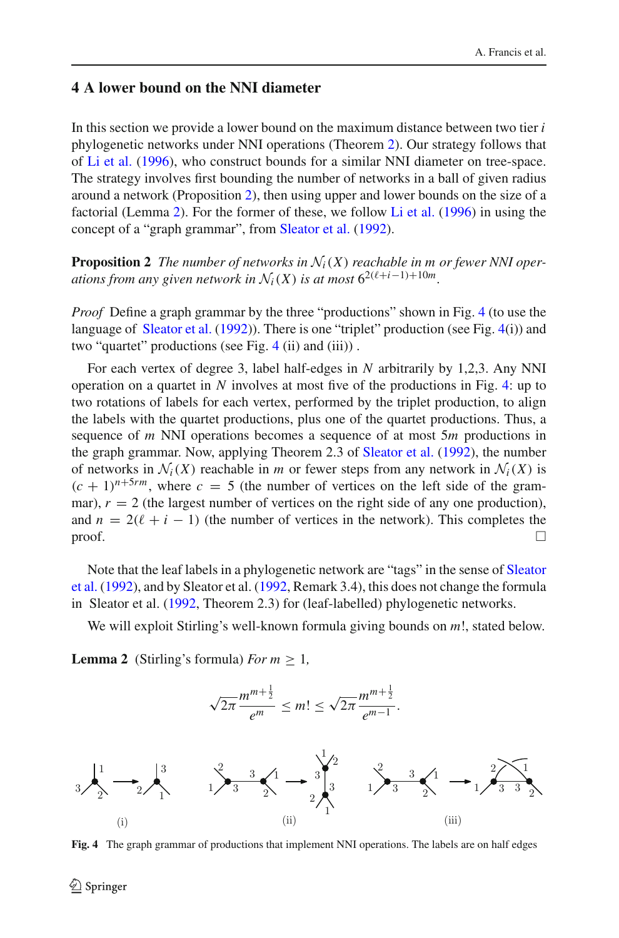## <span id="page-9-0"></span>**4 A lower bound on the NNI diameter**

In this section we provide a lower bound on the maximum distance between two tier *i* phylogenetic networks under NNI operations (Theorem [2\)](#page-10-0). Our strategy follows that of [Li et al.](#page-19-10) [\(1996](#page-19-10)), who construct bounds for a similar NNI diameter on tree-space. The strategy involves first bounding the number of networks in a ball of given radius around a network (Proposition [2\)](#page-9-1), then using upper and lower bounds on the size of a factorial (Lemma [2\)](#page-9-2). For the former of these, we follow [Li et al.](#page-19-10) [\(1996\)](#page-19-10) in using the concept of a "graph grammar", from [Sleator et al.](#page-19-11) [\(1992\)](#page-19-11).

<span id="page-9-1"></span>**Proposition 2** *The number of networks in*  $\mathcal{N}_i(X)$  *reachable in m or fewer NNI operations from any given network in*  $\mathcal{N}_i(X)$  *is at most*  $6^{2(\ell+i-1)+10m}$ .

*Proof* Define a graph grammar by the three "productions" shown in Fig. [4](#page-9-3) (to use the language of [Sleator et al.](#page-19-11) [\(1992\)](#page-19-11)). There is one "triplet" production (see Fig. [4\(](#page-9-3)i)) and two "quartet" productions (see Fig. [4](#page-9-3) (ii) and (iii)) .

For each vertex of degree 3, label half-edges in *N* arbitrarily by 1,2,3. Any NNI operation on a quartet in *N* involves at most five of the productions in Fig. [4:](#page-9-3) up to two rotations of labels for each vertex, performed by the triplet production, to align the labels with the quartet productions, plus one of the quartet productions. Thus, a sequence of *m* NNI operations becomes a sequence of at most 5*m* productions in the graph grammar. Now, applying Theorem 2.3 of [Sleator et al.](#page-19-11) [\(1992](#page-19-11)), the number of networks in  $\mathcal{N}_i(X)$  reachable in *m* or fewer steps from any network in  $\mathcal{N}_i(X)$  is  $(c + 1)^{n+5rm}$ , where  $c = 5$  (the number of vertices on the left side of the grammar),  $r = 2$  (the largest number of vertices on the right side of any one production), and  $n = 2(\ell + i - 1)$  (the number of vertices in the network). This completes the  $\Box$ 

[Note](#page-19-11) [that](#page-19-11) [the](#page-19-11) [leaf](#page-19-11) [labels](#page-19-11) [in](#page-19-11) [a](#page-19-11) [phylogenetic](#page-19-11) [network](#page-19-11) [are](#page-19-11) ["tags"](#page-19-11) [in](#page-19-11) [the](#page-19-11) [sense](#page-19-11) [of](#page-19-11) Sleator et al. [\(1992](#page-19-11)), and by Sleator et al. [\(1992,](#page-19-11) Remark 3.4), this does not change the formula in Sleator et al. [\(1992](#page-19-11), Theorem 2.3) for (leaf-labelled) phylogenetic networks.

<span id="page-9-2"></span>We will exploit Stirling's well-known formula giving bounds on *m*!, stated below.

**Lemma 2** (Stirling's formula) *For*  $m \geq 1$ ,



<span id="page-9-3"></span>**Fig. 4** The graph grammar of productions that implement NNI operations. The labels are on half edges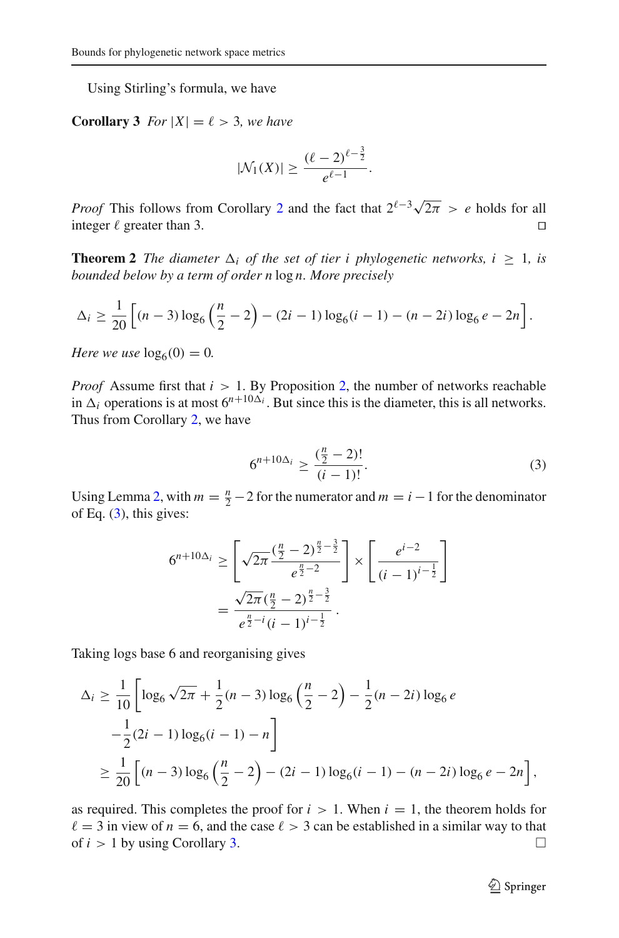<span id="page-10-2"></span>Using Stirling's formula, we have

**Corollary 3** *For*  $|X| = \ell > 3$ *, we have* 

$$
|\mathcal{N}_1(X)| \geq \frac{(\ell-2)^{\ell-\frac{3}{2}}}{e^{\ell-1}}.
$$

*Proof* This follows from Corollary [2](#page-8-0) and the fact that  $2^{\ell-3}\sqrt{2\pi} > e$  holds for all integer  $\ell$  greater than 3.

<span id="page-10-0"></span>**Theorem 2** *The diameter*  $\Delta_i$  *of the set of tier i phylogenetic networks, i*  $\geq 1$ *, is bounded below by a term of order n* log *n. More precisely*

$$
\Delta_i \ge \frac{1}{20} \left[ (n-3) \log_6 \left( \frac{n}{2} - 2 \right) - (2i-1) \log_6 (i-1) - (n-2i) \log_6 e - 2n \right].
$$

*Here we use*  $log_6(0) = 0$ *.* 

*Proof* Assume first that  $i > 1$ . By Proposition [2,](#page-9-1) the number of networks reachable in  $\Delta_i$  operations is at most  $6^{n+10\Delta_i}$ . But since this is the diameter, this is all networks. Thus from Corollary [2,](#page-8-0) we have

<span id="page-10-1"></span>
$$
6^{n+10\Delta_i} \ge \frac{\left(\frac{n}{2} - 2\right)!}{(i-1)!}.\tag{3}
$$

Using Lemma [2,](#page-9-2) with  $m = \frac{n}{2} - 2$  for the numerator and  $m = i - 1$  for the denominator of Eq.  $(3)$ , this gives:

$$
6^{n+10\Delta_i} \ge \left[\sqrt{2\pi} \frac{\left(\frac{n}{2} - 2\right)^{\frac{n}{2} - \frac{3}{2}}}{e^{\frac{n}{2} - 2}}\right] \times \left[\frac{e^{i-2}}{(i-1)^{i-\frac{1}{2}}}\right]
$$

$$
= \frac{\sqrt{2\pi} \left(\frac{n}{2} - 2\right)^{\frac{n}{2} - \frac{3}{2}}}{e^{\frac{n}{2} - i} (i-1)^{i-\frac{1}{2}}}.
$$

Taking logs base 6 and reorganising gives

$$
\Delta_i \ge \frac{1}{10} \left[ \log_6 \sqrt{2\pi} + \frac{1}{2} (n-3) \log_6 \left( \frac{n}{2} - 2 \right) - \frac{1}{2} (n-2i) \log_6 e - \frac{1}{2} (2i-1) \log_6 (i-1) - n \right]
$$
  

$$
\ge \frac{1}{20} \left[ (n-3) \log_6 \left( \frac{n}{2} - 2 \right) - (2i-1) \log_6 (i-1) - (n-2i) \log_6 e - 2n \right],
$$

as required. This completes the proof for  $i > 1$ . When  $i = 1$ , the theorem holds for  $\ell = 3$  in view of  $n = 6$ , and the case  $\ell > 3$  can be established in a similar way to that of  $i > 1$  by using Corollary [3.](#page-10-2)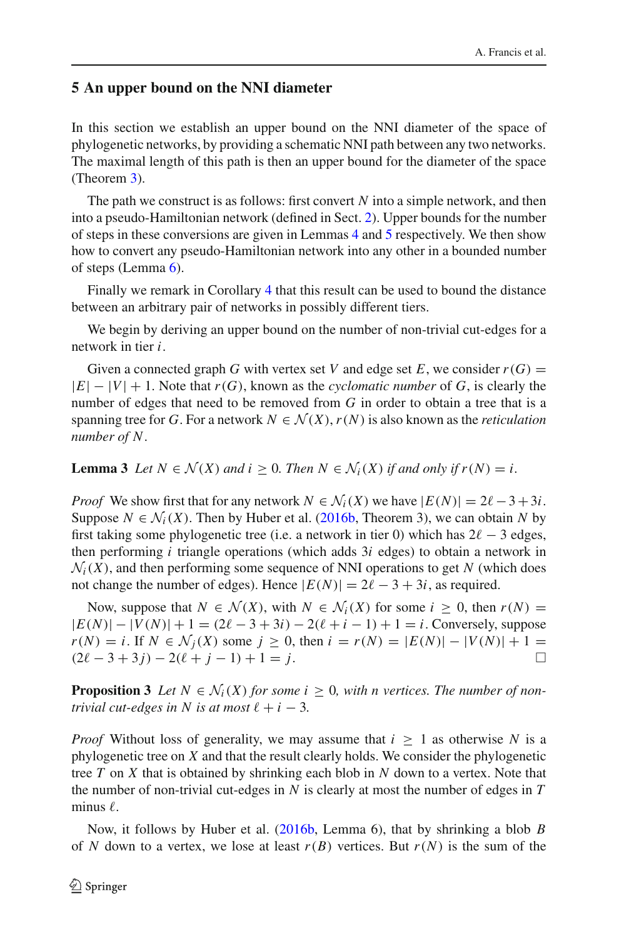### <span id="page-11-0"></span>**5 An upper bound on the NNI diameter**

In this section we establish an upper bound on the NNI diameter of the space of phylogenetic networks, by providing a schematic NNI path between any two networks. The maximal length of this path is then an upper bound for the diameter of the space (Theorem [3\)](#page-13-0).

The path we construct is as follows: first convert *N* into a simple network, and then into a pseudo-Hamiltonian network (defined in Sect. [2\)](#page-3-0). Upper bounds for the number of steps in these conversions are given in Lemmas [4](#page-12-0) and [5](#page-12-1) respectively. We then show how to convert any pseudo-Hamiltonian network into any other in a bounded number of steps (Lemma [6\)](#page-13-1).

Finally we remark in Corollary [4](#page-14-0) that this result can be used to bound the distance between an arbitrary pair of networks in possibly different tiers.

We begin by deriving an upper bound on the number of non-trivial cut-edges for a network in tier *i*.

Given a connected graph *G* with vertex set *V* and edge set *E*, we consider  $r(G)$  = |*E*|−|*V*| + 1. Note that *r*(*G*), known as the *cyclomatic number* of *G*, is clearly the number of edges that need to be removed from *G* in order to obtain a tree that is a spanning tree for *G*. For a network  $N \in \mathcal{N}(X)$ ,  $r(N)$  is also known as the *reticulation number of N*.

<span id="page-11-1"></span>**Lemma 3** *Let*  $N \in \mathcal{N}(X)$  *and*  $i \geq 0$ *. Then*  $N \in \mathcal{N}_i(X)$  *if and only if*  $r(N) = i$ *.* 

*Proof* We show first that for any network  $N \in \mathcal{N}_i(X)$  we have  $|E(N)| = 2\ell - 3 + 3i$ . Suppose  $N \in \mathcal{N}_i(X)$ . Then by Huber et al. [\(2016b](#page-19-5), Theorem 3), we can obtain *N* by first taking some phylogenetic tree (i.e. a network in tier 0) which has  $2l - 3$  edges, then performing *i* triangle operations (which adds 3*i* edges) to obtain a network in  $\mathcal{N}_i(X)$ , and then performing some sequence of NNI operations to get *N* (which does not change the number of edges). Hence  $|E(N)| = 2\ell - 3 + 3i$ , as required.

Now, suppose that  $N \in \mathcal{N}(X)$ , with  $N \in \mathcal{N}_i(X)$  for some  $i \geq 0$ , then  $r(N) =$  $|E(N)| - |V(N)| + 1 = (2\ell - 3 + 3i) - 2(\ell + i - 1) + 1 = i$ . Conversely, suppose *r*(*N*) = *i*. If *N* ∈ *N*<sub>j</sub>(*X*) some *j* ≥ 0, then *i* = *r*(*N*) = |*E*(*N*)| − |*V*(*N*)| + 1 =  $(2l - 3 + 3j) - 2(l + j - 1) + 1 = i$  $(2\ell - 3 + 3j) - 2(\ell + j - 1) + 1 = j.$ 

<span id="page-11-2"></span>**Proposition 3** Let  $N \in \mathcal{N}_i(X)$  for some  $i \geq 0$ , with n vertices. The number of non*trivial cut-edges in*  $N$  *is at most*  $\ell + i - 3$ *.* 

*Proof* Without loss of generality, we may assume that  $i > 1$  as otherwise N is a phylogenetic tree on *X* and that the result clearly holds. We consider the phylogenetic tree *T* on *X* that is obtained by shrinking each blob in *N* down to a vertex. Note that the number of non-trivial cut-edges in *N* is clearly at most the number of edges in *T*  $minus \ell$ .

Now, it follows by Huber et al. [\(2016b](#page-19-5), Lemma 6), that by shrinking a blob *B* of N down to a vertex, we lose at least  $r(B)$  vertices. But  $r(N)$  is the sum of the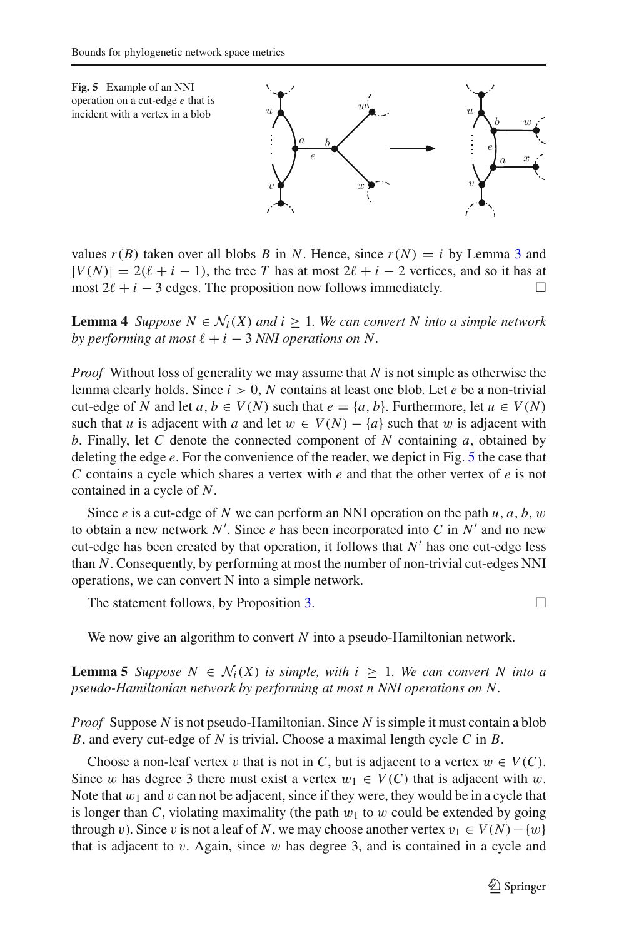<span id="page-12-2"></span>

values  $r(B)$  taken over all blobs *B* in *N*. Hence, since  $r(N) = i$  by Lemma [3](#page-11-1) and  $|V(N)| = 2(\ell + i - 1)$ , the tree *T* has at most  $2\ell + i - 2$  vertices, and so it has at most  $2\ell + i - 3$  edges. The proposition now follows immediately.  $□$ 

<span id="page-12-0"></span>**Lemma 4** *Suppose*  $N \in \mathcal{N}_i(X)$  *and*  $i \geq 1$ *. We can convert N into a simple network*  $by$  performing at most  $\ell + i - 3$  *NNI* operations on N.

*Proof* Without loss of generality we may assume that *N* is not simple as otherwise the lemma clearly holds. Since  $i > 0$ , N contains at least one blob. Let *e* be a non-trivial cut-edge of *N* and let  $a, b \in V(N)$  such that  $e = \{a, b\}$ . Furthermore, let  $u \in V(N)$ such that *u* is adjacent with *a* and let  $w \in V(N) - \{a\}$  such that w is adjacent with *b*. Finally, let *C* denote the connected component of *N* containing *a*, obtained by deleting the edge *e*. For the convenience of the reader, we depict in Fig. [5](#page-12-2) the case that *C* contains a cycle which shares a vertex with *e* and that the other vertex of *e* is not contained in a cycle of *N*.

Since *e* is a cut-edge of *N* we can perform an NNI operation on the path *u*, *a*, *b*, w to obtain a new network  $N'$ . Since *e* has been incorporated into *C* in  $N'$  and no new cut-edge has been created by that operation, it follows that  $N'$  has one cut-edge less than *N*. Consequently, by performing at most the number of non-trivial cut-edges NNI operations, we can convert N into a simple network.

The statement follows, by Proposition [3.](#page-11-2)  $\Box$ 

<span id="page-12-1"></span>We now give an algorithm to convert *N* into a pseudo-Hamiltonian network.

**Lemma 5** *Suppose*  $N \in \mathcal{N}_i(X)$  *is simple, with*  $i \geq 1$ *. We can convert* N *into a pseudo-Hamiltonian network by performing at most n NNI operations on N.*

*Proof* Suppose *N* is not pseudo-Hamiltonian. Since *N* is simple it must contain a blob *B*, and every cut-edge of *N* is trivial. Choose a maximal length cycle *C* in *B*.

Choose a non-leaf vertex v that is not in *C*, but is adjacent to a vertex  $w \in V(C)$ . Since w has degree 3 there must exist a vertex  $w_1 \in V(C)$  that is adjacent with w. Note that  $w_1$  and v can not be adjacent, since if they were, they would be in a cycle that is longer than *C*, violating maximality (the path  $w_1$  to w could be extended by going through v). Since v is not a leaf of *N*, we may choose another vertex  $v_1 \in V(N) - \{w\}$ that is adjacent to  $v$ . Again, since  $w$  has degree 3, and is contained in a cycle and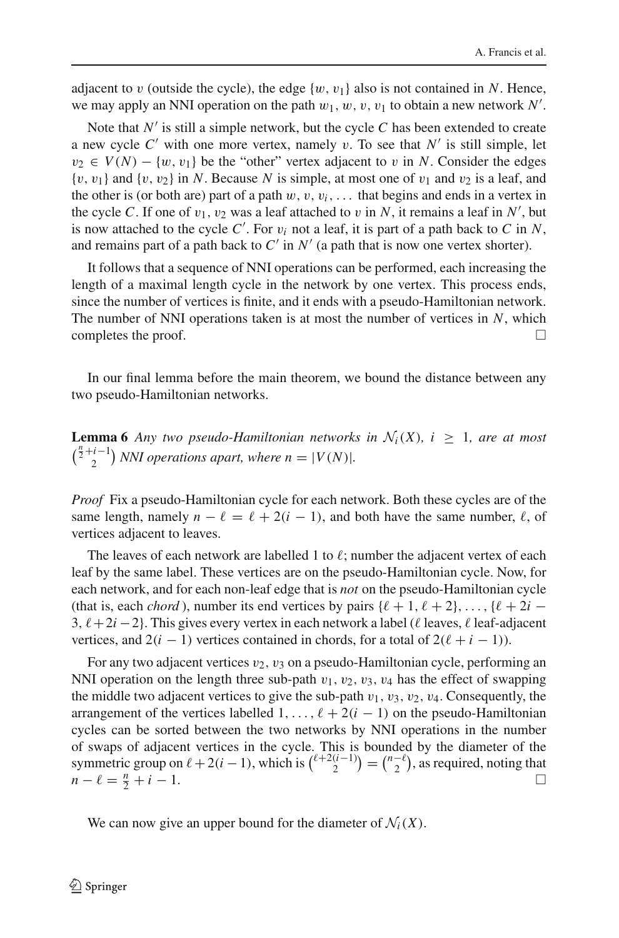adjacent to v (outside the cycle), the edge  $\{w, v_1\}$  also is not contained in N. Hence, we may apply an NNI operation on the path  $w_1, w, v, v_1$  to obtain a new network  $N'$ .

Note that  $N'$  is still a simple network, but the cycle  $C$  has been extended to create a new cycle  $C'$  with one more vertex, namely v. To see that  $N'$  is still simple, let  $v_2 \in V(N) - \{w, v_1\}$  be the "other" vertex adjacent to v in *N*. Consider the edges  $\{v, v_1\}$  and  $\{v, v_2\}$  in N. Because N is simple, at most one of  $v_1$  and  $v_2$  is a leaf, and the other is (or both are) part of a path  $w, v, v_i, \ldots$  that begins and ends in a vertex in the cycle *C*. If one of  $v_1$ ,  $v_2$  was a leaf attached to  $v$  in  $N$ , it remains a leaf in  $N'$ , but is now attached to the cycle  $C'$ . For  $v_i$  not a leaf, it is part of a path back to  $C$  in  $N$ , and remains part of a path back to  $C'$  in  $N'$  (a path that is now one vertex shorter).

It follows that a sequence of NNI operations can be performed, each increasing the length of a maximal length cycle in the network by one vertex. This process ends, since the number of vertices is finite, and it ends with a pseudo-Hamiltonian network. The number of NNI operations taken is at most the number of vertices in *N*, which completes the proof.  $\Box$ 

<span id="page-13-1"></span>In our final lemma before the main theorem, we bound the distance between any two pseudo-Hamiltonian networks.

**Lemma 6** *Any two pseudo-Hamiltonian networks in*  $\mathcal{N}_i(X)$ ,  $i \geq 1$ , are at most  $\binom{\frac{n}{2}+i-1}{2}$  *NNI operations apart, where n* = |*V*(*N*)|*.* 

*Proof* Fix a pseudo-Hamiltonian cycle for each network. Both these cycles are of the same length, namely  $n - \ell = \ell + 2(i - 1)$ , and both have the same number,  $\ell$ , of vertices adjacent to leaves.

The leaves of each network are labelled 1 to  $\ell;$  number the adjacent vertex of each leaf by the same label. These vertices are on the pseudo-Hamiltonian cycle. Now, for each network, and for each non-leaf edge that is *not* on the pseudo-Hamiltonian cycle (that is, each *chord*), number its end vertices by pairs  $\{\ell + 1, \ell + 2\}, \ldots, \{\ell + 2i - \ell\}$ 3,  $\ell + 2i - 2$ . This gives every vertex in each network a label ( $\ell$  leaves,  $\ell$  leaf-adjacent vertices, and  $2(i - 1)$  vertices contained in chords, for a total of  $2(\ell + i - 1)$ ).

For any two adjacent vertices  $v_2$ ,  $v_3$  on a pseudo-Hamiltonian cycle, performing an NNI operation on the length three sub-path  $v_1$ ,  $v_2$ ,  $v_3$ ,  $v_4$  has the effect of swapping the middle two adjacent vertices to give the sub-path  $v_1$ ,  $v_3$ ,  $v_2$ ,  $v_4$ . Consequently, the arrangement of the vertices labelled  $1, \ldots, \ell + 2(i - 1)$  on the pseudo-Hamiltonian cycles can be sorted between the two networks by NNI operations in the number of swaps of adjacent vertices in the cycle. This is bounded by the diameter of the symmetric group on  $\ell + 2(i - 1)$ , which is  $\binom{\ell+2(i-1)}{2} = \binom{n-\ell}{2}$ , as required, noting that  $\mu - \ell = \frac{n}{2}$  $\frac{n}{2} + i - 1.$ 

<span id="page-13-0"></span>We can now give an upper bound for the diameter of  $\mathcal{N}_i(X)$ .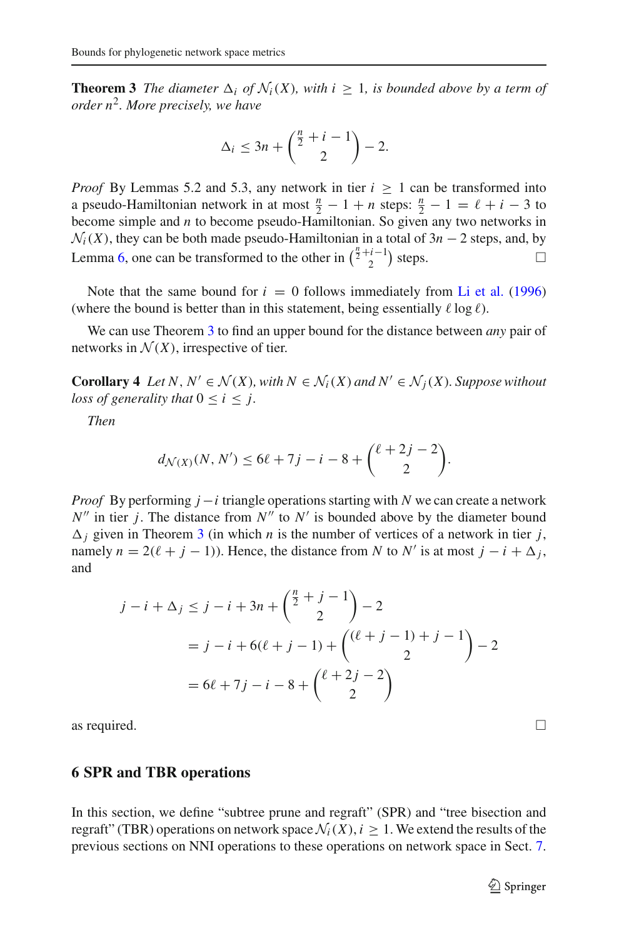**Theorem 3** *The diameter*  $\Delta_i$  *of*  $\mathcal{N}_i(X)$ *, with*  $i \geq 1$ *, is bounded above by a term of order n*2*. More precisely, we have*

$$
\Delta_i \le 3n + \binom{\frac{n}{2} + i - 1}{2} - 2.
$$

*Proof* By Lemmas 5.2 and 5.3, any network in tier  $i \ge 1$  can be transformed into a pseudo-Hamiltonian network in at most  $\frac{n}{2} - 1 + n$  steps:  $\frac{n}{2} - 1 = \ell + i - 3$  to become simple and *n* to become pseudo-Hamiltonian. So given any two networks in  $N_i(X)$ , they can be both made pseudo-Hamiltonian in a total of  $3n - 2$  steps, and, by Lemma [6,](#page-13-1) one can be transformed to the other in  $\binom{\frac{n}{2}+i-1}{2}$  steps.  $□$ 

Note that the same bound for  $i = 0$  follows immediately from [Li et al.](#page-19-10) [\(1996\)](#page-19-10) (where the bound is better than in this statement, being essentially  $\ell \log \ell$ ).

<span id="page-14-0"></span>We can use Theorem [3](#page-13-0) to find an upper bound for the distance between *any* pair of networks in  $\mathcal{N}(X)$ , irrespective of tier.

**Corollary 4** *Let*  $N, N' \in \mathcal{N}(X)$ *, with*  $N \in \mathcal{N}_i(X)$  *and*  $N' \in \mathcal{N}_i(X)$ *. Suppose without loss of generality that*  $0 \le i \le j$ .

*Then*

$$
d_{\mathcal{N}(X)}(N, N') \le 6\ell + 7j - i - 8 + {\ell + 2j - 2 \choose 2}.
$$

*Proof* By performing *j* − *i* triangle operations starting with *N* we can create a network  $N''$  in tier *j*. The distance from  $N''$  to  $N'$  is bounded above by the diameter bound  $\Delta_i$  given in Theorem [3](#page-13-0) (in which *n* is the number of vertices of a network in tier *j*, namely  $n = 2(\ell + j - 1)$ ). Hence, the distance from *N* to *N'* is at most  $j - i + \Delta_j$ , and

$$
j - i + \Delta_j \le j - i + 3n + {\binom{\frac{n}{2} + j - 1}{2}} - 2
$$
  
=  $j - i + 6(\ell + j - 1) + {\binom{(\ell + j - 1) + j - 1}{2}} - 2$   
=  $6\ell + 7j - i - 8 + {\binom{\ell + 2j - 2}{2}}$ 

as required.  $\Box$ 

#### <span id="page-14-1"></span>**6 SPR and TBR operations**

In this section, we define "subtree prune and regraft" (SPR) and "tree bisection and regraft" (TBR) operations on network space  $\mathcal{N}_i(X)$ ,  $i \geq 1$ . We extend the results of the previous sections on NNI operations to these operations on network space in Sect. [7.](#page-16-0)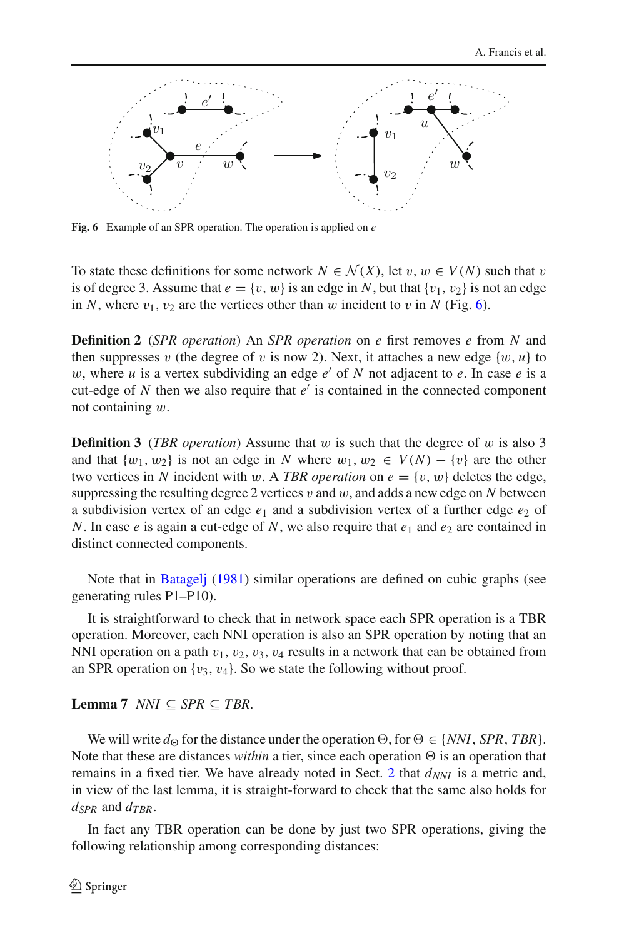

<span id="page-15-3"></span>**Fig. 6** Example of an SPR operation. The operation is applied on *e*

To state these definitions for some network  $N \in \mathcal{N}(X)$ , let  $v, w \in V(N)$  such that v is of degree 3. Assume that  $e = \{v, w\}$  is an edge in N, but that  $\{v_1, v_2\}$  is not an edge in *N*, where  $v_1$ ,  $v_2$  are the vertices other than w incident to v in *N* (Fig. [6\)](#page-15-3).

<span id="page-15-0"></span>**Definition 2** (*SPR operation*) An *SPR operation* on *e* first removes *e* from *N* and then suppresses v (the degree of v is now 2). Next, it attaches a new edge  $\{w, u\}$  to w, where  $u$  is a vertex subdividing an edge  $e'$  of  $N$  not adjacent to  $e$ . In case  $e$  is a cut-edge of  $N$  then we also require that  $e'$  is contained in the connected component not containing w.

<span id="page-15-1"></span>**Definition 3** (*TBR operation*) Assume that w is such that the degree of w is also 3 and that  $\{w_1, w_2\}$  is not an edge in *N* where  $w_1, w_2 \in V(N) - \{v\}$  are the other two vertices in *N* incident with w. A *TBR operation* on  $e = \{v, w\}$  deletes the edge, suppressing the resulting degree 2 vertices  $v$  and  $w$ , and adds a new edge on  $N$  between a subdivision vertex of an edge  $e_1$  and a subdivision vertex of a further edge  $e_2$  of *N*. In case *e* is again a cut-edge of *N*, we also require that  $e_1$  and  $e_2$  are contained in distinct connected components.

Note that in [Batagelj](#page-19-13) [\(1981\)](#page-19-13) similar operations are defined on cubic graphs (see generating rules P1–P10).

It is straightforward to check that in network space each SPR operation is a TBR operation. Moreover, each NNI operation is also an SPR operation by noting that an NNI operation on a path  $v_1, v_2, v_3, v_4$  results in a network that can be obtained from an SPR operation on  $\{v_3, v_4\}$ . So we state the following without proof.

<span id="page-15-2"></span>**Lemma 7** *NNI*  $\subseteq$  *SPR*  $\subseteq$  *TBR.* 

We will write  $d_{\Theta}$  for the distance under the operation  $\Theta$ , for  $\Theta \in \{NNI, SPR, TBR\}$ . Note that these are distances *within* a tier, since each operation  $\Theta$  is an operation that remains in a fixed tier. We have already noted in Sect. [2](#page-3-0) that  $d_{NNI}$  is a metric and, in view of the last lemma, it is straight-forward to check that the same also holds for  $d_{SPR}$  and  $d_{TRR}$ .

<span id="page-15-4"></span>In fact any TBR operation can be done by just two SPR operations, giving the following relationship among corresponding distances: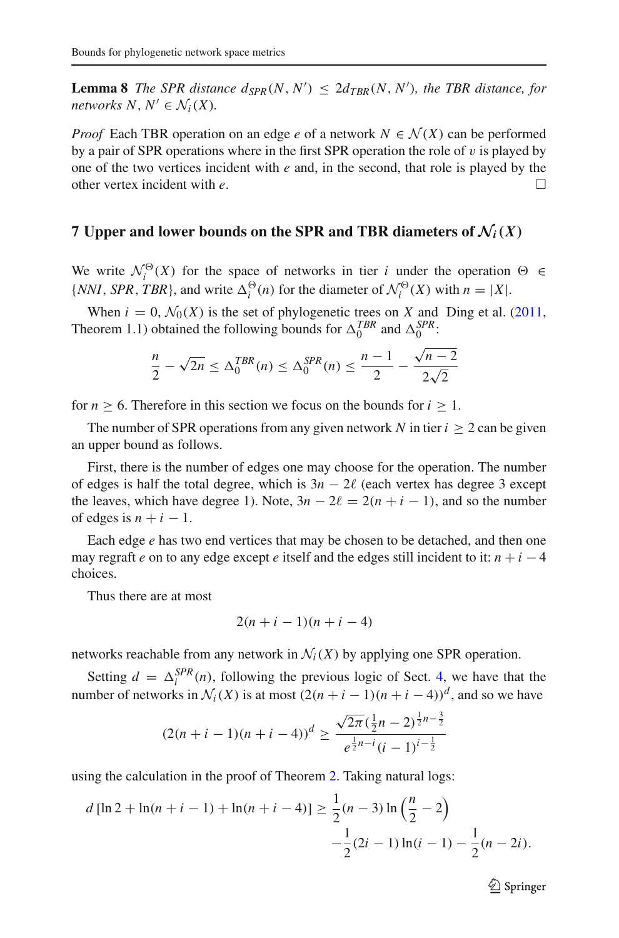**Lemma 8** *The SPR distance*  $d_{SPR}(N, N') \leq 2d_{TBR}(N, N')$ *, the TBR distance, for networks*  $N, N' \in \mathcal{N}_i(X)$ .

*Proof* Each TBR operation on an edge *e* of a network  $N \in \mathcal{N}(X)$  can be performed by a pair of SPR operations where in the first SPR operation the role of  $v$  is played by one of the two vertices incident with *e* and, in the second, that role is played by the other vertex incident with *e*. -

#### <span id="page-16-0"></span>**7 Upper and lower bounds on the SPR and TBR diameters of**  $\mathcal{N}_i(X)$

We write  $\mathcal{N}_i^{\Theta}(X)$  for the space of networks in tier *i* under the operation  $\Theta \in$ {*NNI*, *SPR*, *TBR*}, and write  $\Delta_i^{\Theta}(n)$  for the diameter of  $\mathcal{N}_i^{\Theta}(X)$  with  $n = |X|$ .

When  $i = 0$ ,  $\mathcal{N}_0(X)$  is the set of phylogenetic trees on *X* and Ding et al. [\(2011,](#page-19-14) Theorem 1.1) obtained the following bounds for  $\Delta_0^{TBR}$  and  $\Delta_0^{SPR}$ :

$$
\frac{n}{2} - \sqrt{2n} \le \Delta_0^{TBR}(n) \le \Delta_0^{SPR}(n) \le \frac{n-1}{2} - \frac{\sqrt{n-2}}{2\sqrt{2}}
$$

for  $n \geq 6$ . Therefore in this section we focus on the bounds for  $i \geq 1$ .

The number of SPR operations from any given network *N* in tier  $i > 2$  can be given an upper bound as follows.

First, there is the number of edges one may choose for the operation. The number of edges is half the total degree, which is  $3n - 2\ell$  (each vertex has degree 3 except the leaves, which have degree 1). Note,  $3n - 2\ell = 2(n + i - 1)$ , and so the number of edges is  $n + i - 1$ .

Each edge *e* has two end vertices that may be chosen to be detached, and then one may regraft *e* on to any edge except *e* itself and the edges still incident to it:  $n + i - 4$ choices.

Thus there are at most

$$
2(n+i-1)(n+i-4)
$$

networks reachable from any network in  $\mathcal{N}_i(X)$  by applying one SPR operation.

Setting  $d = \Delta_i^{SPR}(n)$ , following the previous logic of Sect. [4,](#page-9-0) we have that the number of networks in  $\mathcal{N}_i(X)$  is at most  $(2(n+i-1)(n+i-4))^d$ , and so we have

$$
(2(n+i-1)(n+i-4))^d \ge \frac{\sqrt{2\pi}(\frac{1}{2}n-2)^{\frac{1}{2}n-\frac{3}{2}}}{e^{\frac{1}{2}n-i}(i-1)^{i-\frac{1}{2}}}
$$

using the calculation in the proof of Theorem [2.](#page-10-0) Taking natural logs:

$$
d \left[ \ln 2 + \ln(n + i - 1) + \ln(n + i - 4) \right] \ge \frac{1}{2}(n - 3) \ln \left( \frac{n}{2} - 2 \right) -\frac{1}{2}(2i - 1) \ln(i - 1) - \frac{1}{2}(n - 2i).
$$

 $\mathcal{D}$  Springer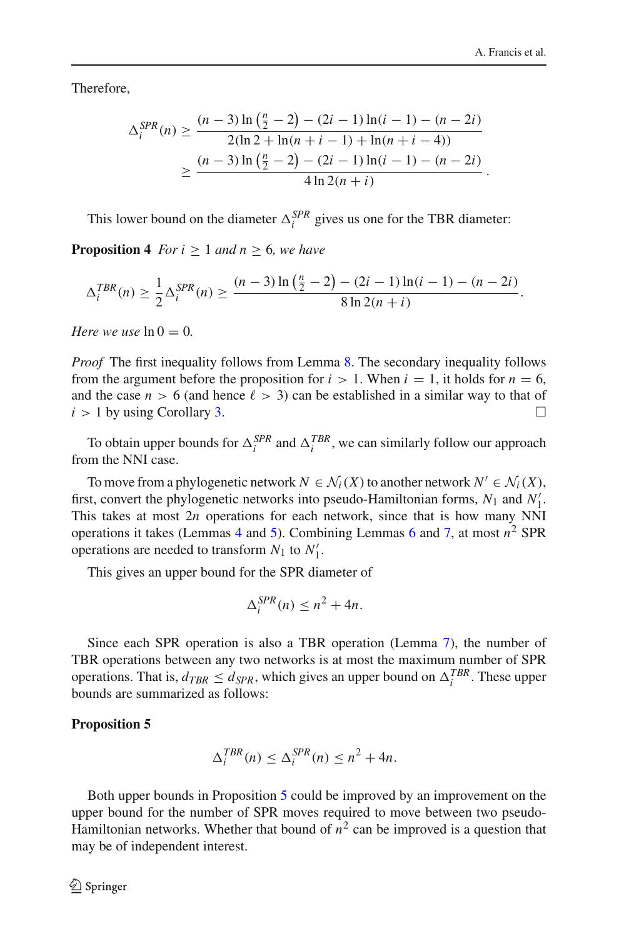Therefore,

$$
\Delta_i^{SPR}(n) \ge \frac{(n-3)\ln\left(\frac{n}{2}-2\right) - (2i-1)\ln(i-1) - (n-2i)}{2(\ln 2 + \ln(n+i-1) + \ln(n+i-4))}
$$

$$
\ge \frac{(n-3)\ln\left(\frac{n}{2}-2\right) - (2i-1)\ln(i-1) - (n-2i)}{4\ln 2(n+i)}.
$$

This lower bound on the diameter  $\Delta_i^{SPR}$  gives us one for the TBR diameter:

**Proposition 4** *For i*  $> 1$  *and n*  $> 6$ *, we have* 

$$
\Delta_i^{TBR}(n) \ge \frac{1}{2} \Delta_i^{SPR}(n) \ge \frac{(n-3)\ln(\frac{n}{2}-2) - (2i-1)\ln(i-1) - (n-2i)}{8\ln 2(n+i)}.
$$

*Here we use*  $\ln 0 = 0$ .

*Proof* The first inequality follows from Lemma [8.](#page-15-4) The secondary inequality follows from the argument before the proposition for  $i > 1$ . When  $i = 1$ , it holds for  $n = 6$ , and the case  $n > 6$  (and hence  $\ell > 3$ ) can be established in a similar way to that of  $i > 1$  by using Corollary [3.](#page-10-2)

To obtain upper bounds for  $\Delta_i^{SPR}$  and  $\Delta_i^{TBR}$ , we can similarly follow our approach from the NNI case.

To move from a phylogenetic network  $N \in \mathcal{N}_i(X)$  to another network  $N' \in \mathcal{N}_i(X)$ , first, convert the phylogenetic networks into pseudo-Hamiltonian forms, *N*<sup>1</sup> and *N* 1. This takes at most 2*n* operations for each network, since that is how many NNI operations it takes (Lemmas [4](#page-12-0) and [5\)](#page-12-1). Combining Lemmas [6](#page-13-1) and [7,](#page-15-2) at most *n*<sup>2</sup> SPR operations are needed to transform  $N_1$  to  $N'_1$ .

This gives an upper bound for the SPR diameter of

$$
\Delta_i^{SPR}(n) \le n^2 + 4n.
$$

Since each SPR operation is also a TBR operation (Lemma [7\)](#page-15-2), the number of TBR operations between any two networks is at most the maximum number of SPR operations. That is,  $d_{TBR} \leq d_{SPR}$ , which gives an upper bound on  $\Delta_i^{TBR}$ . These upper bounds are summarized as follows:

#### <span id="page-17-0"></span>**Proposition 5**

$$
\Delta_i^{TBR}(n) \leq \Delta_i^{SPR}(n) \leq n^2 + 4n.
$$

Both upper bounds in Proposition [5](#page-17-0) could be improved by an improvement on the upper bound for the number of SPR moves required to move between two pseudo-Hamiltonian networks. Whether that bound of  $n^2$  can be improved is a question that may be of independent interest.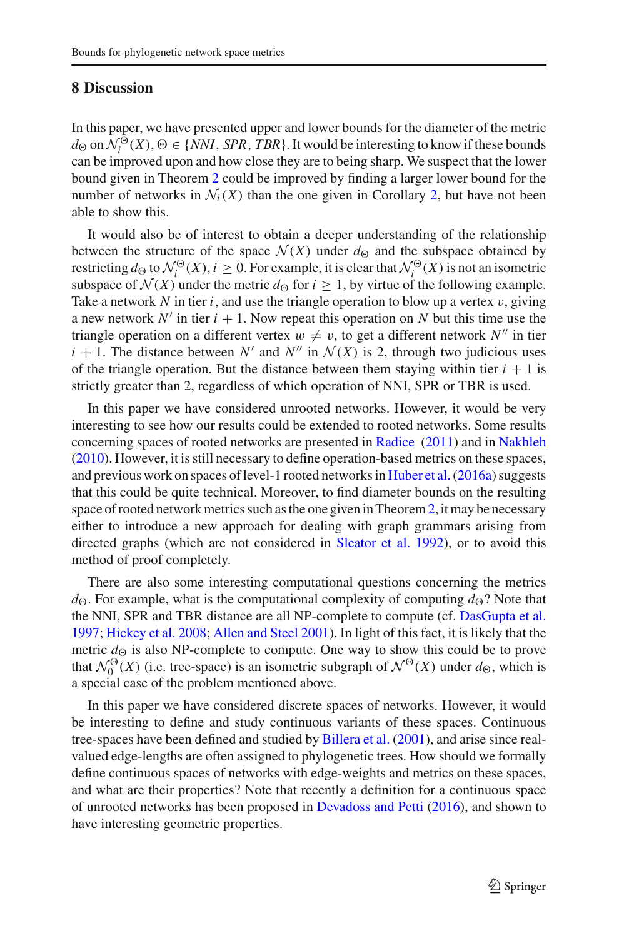### <span id="page-18-0"></span>**8 Discussion**

In this paper, we have presented upper and lower bounds for the diameter of the metric *d* $\Theta$  on  $\mathcal{N}_i^{\Theta}(X)$ ,  $\Theta$  ∈ {*NNI*, *SPR*, *TBR*}. It would be interesting to know if these bounds can be improved upon and how close they are to being sharp. We suspect that the lower bound given in Theorem [2](#page-10-0) could be improved by finding a larger lower bound for the number of networks in  $\mathcal{N}_i(X)$  than the one given in Corollary [2,](#page-8-0) but have not been able to show this.

It would also be of interest to obtain a deeper understanding of the relationship between the structure of the space  $\mathcal{N}(X)$  under  $d_{\Theta}$  and the subspace obtained by restricting  $d_{\Theta}$  to  $\mathcal{N}_i^{\Theta}(X), i \geq 0$ . For example, it is clear that  $\mathcal{N}_i^{\Theta}(X)$  is not an isometric subspace of  $\mathcal{N}(X)$  under the metric  $d_{\Theta}$  for  $i \geq 1$ , by virtue of the following example. Take a network N in tier *i*, and use the triangle operation to blow up a vertex  $v$ , giving a new network  $N'$  in tier  $i + 1$ . Now repeat this operation on N but this time use the triangle operation on a different vertex  $w \neq v$ , to get a different network N'' in tier  $i + 1$ . The distance between *N'* and *N''* in  $\mathcal{N}(X)$  is 2, through two judicious uses of the triangle operation. But the distance between them staying within tier  $i + 1$  is strictly greater than 2, regardless of which operation of NNI, SPR or TBR is used.

In this paper we have considered unrooted networks. However, it would be very interesting to see how our results could be extended to rooted networks. Some results concerning spaces of rooted networks are presented in [Radice](#page-19-15) [\(2011](#page-19-15)) and in [Nakhleh](#page-19-16) [\(2010\)](#page-19-16). However, it is still necessary to define operation-based metrics on these spaces, and previous work on spaces of level-1 rooted networks in [Huber et al.\(2016a](#page-19-17)) suggests that this could be quite technical. Moreover, to find diameter bounds on the resulting space of rooted network metrics such as the one given in Theorem[2,](#page-10-0) it may be necessary either to introduce a new approach for dealing with graph grammars arising from directed graphs (which are not considered in [Sleator et al. 1992](#page-19-11)), or to avoid this method of proof completely.

There are also some interesting computational questions concerning the metrics  $d_{\Theta}$ . For example, what is the computational complexity of computing  $d_{\Theta}$ ? Note that the NNI, SPR and TBR distance are all NP-complete to compute (cf. [DasGupta et al.](#page-19-9) [1997;](#page-19-9) [Hickey et al. 2008;](#page-19-18) [Allen and Steel 2001\)](#page-19-12). In light of this fact, it is likely that the metric  $d_{\Theta}$  is also NP-complete to compute. One way to show this could be to prove that  $\mathcal{N}_0^{\Theta}(X)$  (i.e. tree-space) is an isometric subgraph of  $\mathcal{N}^{\Theta}(X)$  under  $d_{\Theta}$ , which is a special case of the problem mentioned above.

In this paper we have considered discrete spaces of networks. However, it would be interesting to define and study continuous variants of these spaces. Continuous tree-spaces have been defined and studied by [Billera et al.](#page-19-7) [\(2001](#page-19-7)), and arise since realvalued edge-lengths are often assigned to phylogenetic trees. How should we formally define continuous spaces of networks with edge-weights and metrics on these spaces, and what are their properties? Note that recently a definition for a continuous space of unrooted networks has been proposed in [Devadoss and Petti](#page-19-19) [\(2016\)](#page-19-19), and shown to have interesting geometric properties.